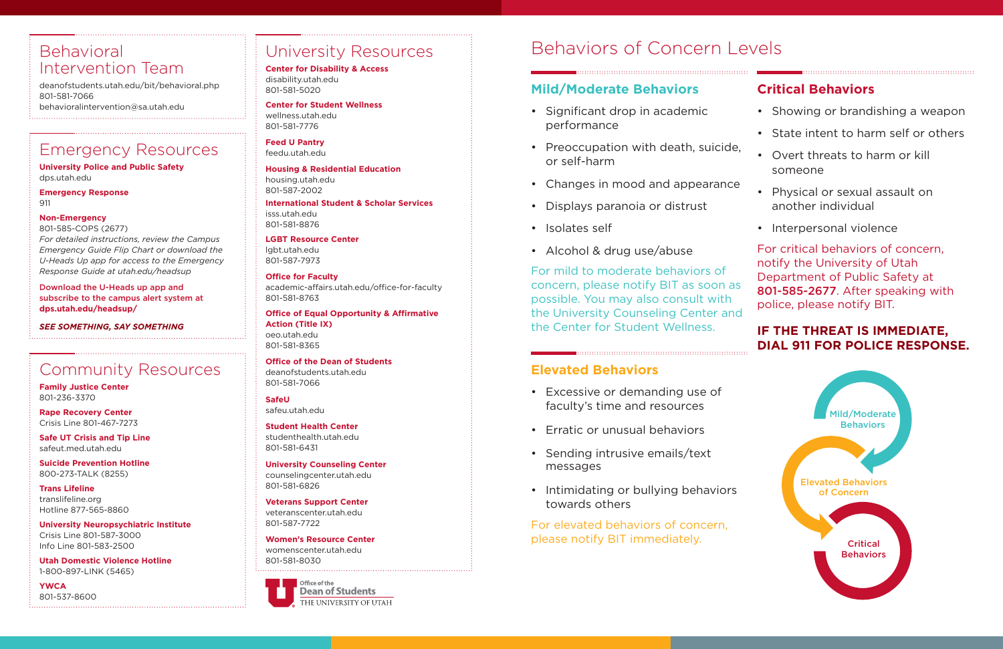## University Resources

**Center for Disability & Access** disability.utah.edu 801-581-5020

**Center for Student Wellness** wellness.utah.edu 801-581-7776

**Feed U Pantry** feedu.utah.edu

**Housing & Residential Education** housing.utah.edu 801-587-2002

**International Student & Scholar Services** isss.utah.edu 801-581-8876

**LGBT Resource Center** lgbt.utah.edu 801-587-7973

**Office for Faculty** academic-affairs.utah.edu/office-for-faculty 801-581-8763

**Office of Equal Opportunity & Affirmative Action (Title IX)** oeo.utah.edu 801-581-8365

**Office of the Dean of Students** deanofstudents.utah.edu 801-581-7066

**SafeU** safeu.utah.edu

**Student Health Center** studenthealth.utah.edu 801-581-6431

**University Counseling Center** counselingcenter.utah.edu 801-581-6826

**Veterans Support Center** veteranscenter.utah.edu 801-587-7722

**Women's Resource Center** womenscenter.utah.edu 801-581-8030

> Office of the **Dean of Students** THE UNIVERSITY OF UTAH

## Emergency Resources

**University Police and Public Safety** dps.utah.edu

**Emergency Response** 911

#### **Non-Emergency**

801-585-COPS (2677) *For detailed instructions, review the Campus Emergency Guide Flip Chart or download the U-Heads Up app for access to the Emergency Response Guide at utah.edu/headsup*

Download the U-Heads up app and subscribe to the campus alert system at **dps.utah.edu/headsup/**

*SEE SOMETHING, SAY SOMETHING*

## Behavioral Intervention Team

deanofstudents.utah.edu/bit/behavioral.php 801-581-7066 behavioralintervention@sa.utah.edu

## Community Resources

**Family Justice Center** 801-236-3370

**Rape Recovery Center** Crisis Line 801-467-7273

**Safe UT Crisis and Tip Line** safeut.med.utah.edu

**Suicide Prevention Hotline** 800-273-TALK (8255)

**Trans Lifeline** translifeline.org Hotline 877-565-8860

**University Neuropsychiatric Institute** Crisis Line 801-587-3000 Info Line 801-583-2500

**Utah Domestic Violence Hotline** 1-800-897-LINK (5465)

**YWCA** 801-537-8600

## Behaviors of Concern Levels

#### **Mild/Moderate Behaviors**

- Significant drop in academic performance
- Preoccupation with death, suicide, or self-harm
- Changes in mood and appearance
- Displays paranoia or distrust
- Isolates self
- Alcohol & drug use/abuse

For mild to moderate behaviors of concern, please notify BIT as soon as possible. You may also consult with the University Counseling Center and the Center for Student Wellness.



#### **Elevated Behaviors**

- Excessive or demanding use of faculty's time and resources
- Erratic or unusual behaviors
- Sending intrusive emails/text messages
- Intimidating or bullying behaviors towards others

For elevated behaviors of concern, please notify BIT immediately.